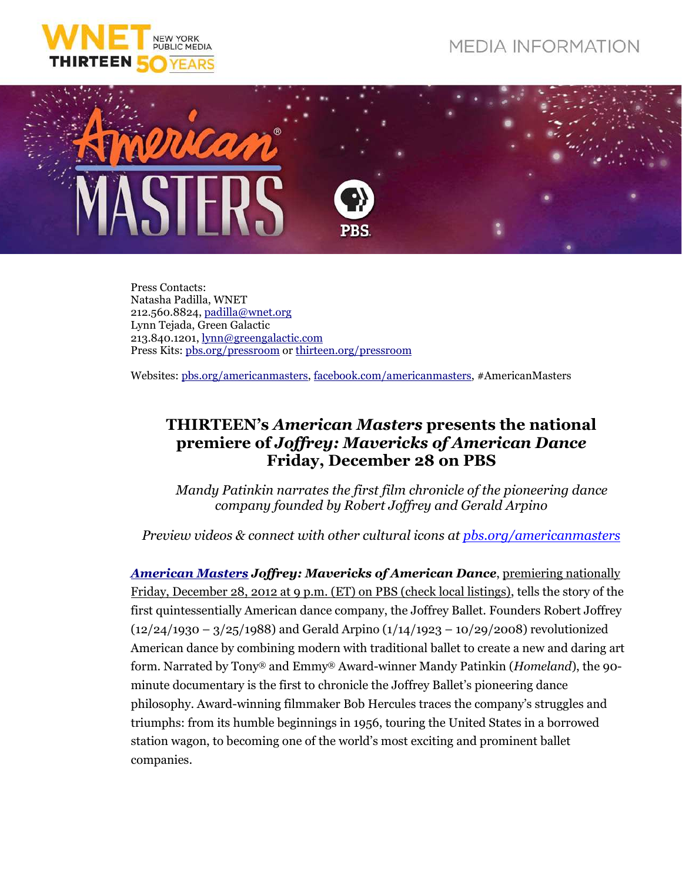## **MEDIA INFORMATION**





Press Contacts: Natasha Padilla, WNET 212.560.8824, padilla@wnet.org Lynn Tejada, Green Galactic 213.840.1201, lynn@greengalactic.com Press Kits: pbs.org/pressroom or thirteen.org/pressroom

Websites: pbs.org/americanmasters, facebook.com/americanmasters, #AmericanMasters

## **THIRTEEN's** *American Masters* **presents the national premiere of** *Joffrey: Mavericks of American Dance* **Friday, December 28 on PBS**

*Mandy Patinkin narrates the first film chronicle of the pioneering dance company founded by Robert Joffrey and Gerald Arpino*

*Preview videos & connect with other cultural icons at pbs.org/americanmasters*

*American Masters Joffrey: Mavericks of American Dance*, premiering nationally Friday, December 28, 2012 at 9 p.m. (ET) on PBS (check local listings), tells the story of the first quintessentially American dance company, the Joffrey Ballet. Founders Robert Joffrey (12/24/1930 – 3/25/1988) and Gerald Arpino (1/14/1923 – 10/29/2008) revolutionized American dance by combining modern with traditional ballet to create a new and daring art form. Narrated by Tony® and Emmy® Award-winner Mandy Patinkin (*Homeland*), the 90 minute documentary is the first to chronicle the Joffrey Ballet's pioneering dance philosophy. Award-winning filmmaker Bob Hercules traces the company's struggles and triumphs: from its humble beginnings in 1956, touring the United States in a borrowed station wagon, to becoming one of the world's most exciting and prominent ballet companies.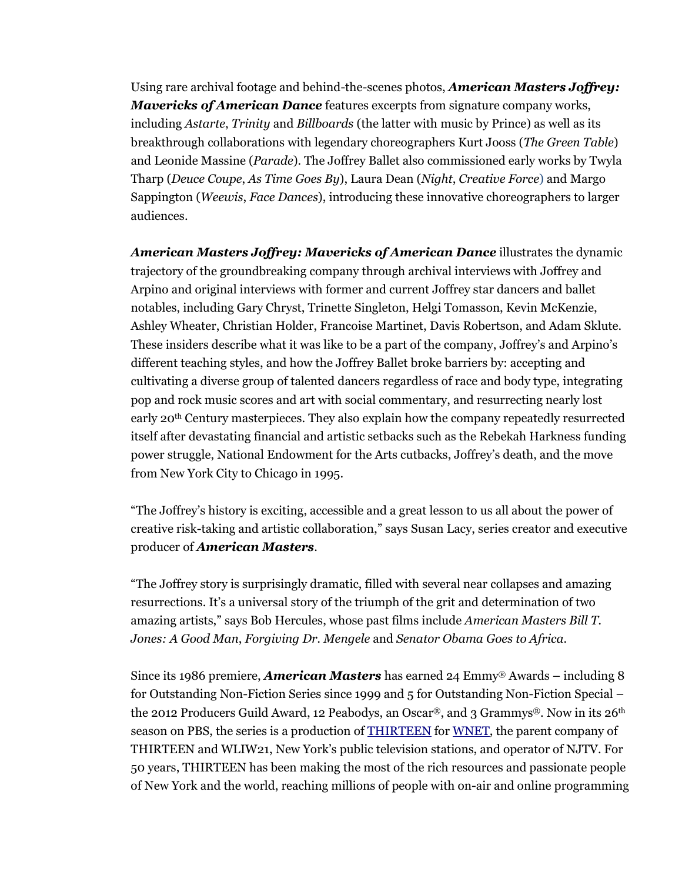Using rare archival footage and behind-the-scenes photos, *American Masters Joffrey: Mavericks of American Dance* features excerpts from signature company works, including *Astarte*, *Trinity* and *Billboards* (the latter with music by Prince) as well as its breakthrough collaborations with legendary choreographers Kurt Jooss (*The Green Table*) and Leonide Massine (*Parade*). The Joffrey Ballet also commissioned early works by Twyla Tharp (*Deuce Coupe*, *As Time Goes By*), Laura Dean (*Night*, *Creative Force*) and Margo Sappington (*Weewis*, *Face Dances*), introducing these innovative choreographers to larger audiences.

*American Masters Joffrey: Mavericks of American Dance* illustrates the dynamic trajectory of the groundbreaking company through archival interviews with Joffrey and Arpino and original interviews with former and current Joffrey star dancers and ballet notables, including Gary Chryst, Trinette Singleton, Helgi Tomasson, Kevin McKenzie, Ashley Wheater, Christian Holder, Francoise Martinet, Davis Robertson, and Adam Sklute. These insiders describe what it was like to be a part of the company, Joffrey's and Arpino's different teaching styles, and how the Joffrey Ballet broke barriers by: accepting and cultivating a diverse group of talented dancers regardless of race and body type, integrating pop and rock music scores and art with social commentary, and resurrecting nearly lost early 20th Century masterpieces. They also explain how the company repeatedly resurrected itself after devastating financial and artistic setbacks such as the Rebekah Harkness funding power struggle, National Endowment for the Arts cutbacks, Joffrey's death, and the move from New York City to Chicago in 1995.

"The Joffrey's history is exciting, accessible and a great lesson to us all about the power of creative risk-taking and artistic collaboration," says Susan Lacy, series creator and executive producer of *American Masters*.

"The Joffrey story is surprisingly dramatic, filled with several near collapses and amazing resurrections. It's a universal story of the triumph of the grit and determination of two amazing artists," says Bob Hercules, whose past films include *American Masters Bill T. Jones: A Good Man*, *Forgiving Dr. Mengele* and *Senator Obama Goes to Africa*.

Since its 1986 premiere, *American Masters* has earned 24 Emmy® Awards – including 8 for Outstanding Non-Fiction Series since 1999 and 5 for Outstanding Non-Fiction Special – the 2012 Producers Guild Award, 12 Peabodys, an Oscar®, and 3 Grammys®. Now in its 26<sup>th</sup> season on PBS, the series is a production of THIRTEEN for WNET, the parent company of THIRTEEN and WLIW21, New York's public television stations, and operator of NJTV. For 50 years, THIRTEEN has been making the most of the rich resources and passionate people of New York and the world, reaching millions of people with on-air and online programming